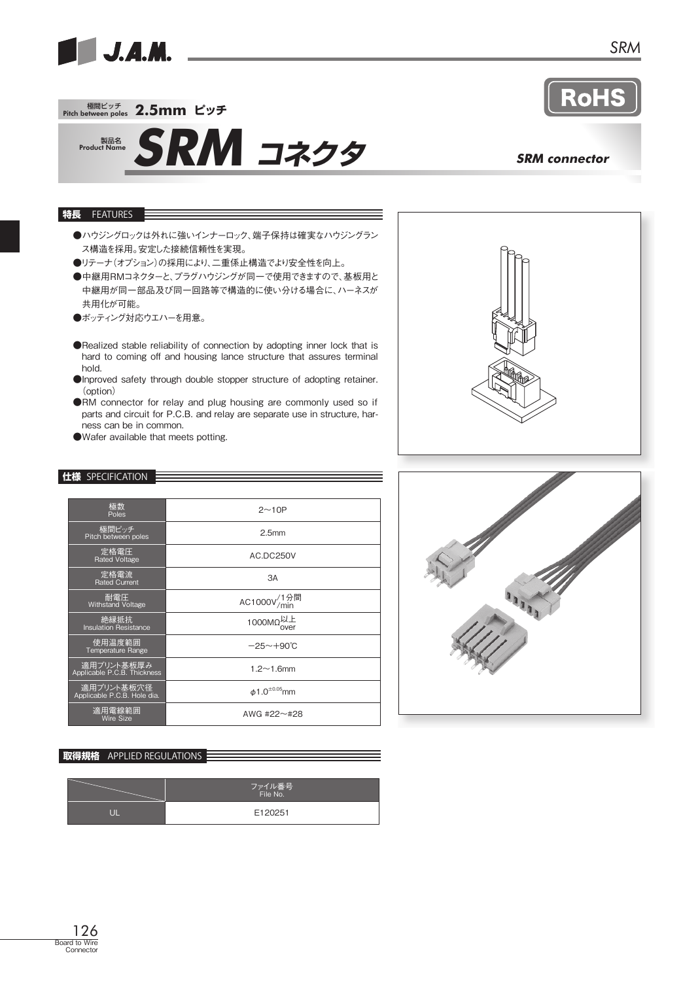

 $\mathbf{O}$ 

# 極間ピッチ Pitch between poles **2.5mm ピッチ**



# **SRM コネクタ** SRM connector

### **特長** FEATURES

- ●ハウジングロックは外れに強いインナーロック、端子保持は確実なハウジングラン ス構造を採用。安定した接続信頼性を実現。
- ●リテーナ(オプション)の採用により、二重係止構造でより安全性を向上。
- ●中継用RMコネクターと、プラグハウジングが同一で使用できますので、基板用と 中継用が同一部品及び同一回路等で構造的に使い分ける場合に、ハーネスが 共用化が可能。
- ●ポッティング対応ウエハーを用意。
- ●Realized stable reliability of connection by adopting inner lock that is hard to coming off and housing lance structure that assures terminal hold.
- ●Inproved safety through double stopper structure of adopting retainer. (option)
- ●RM connector for relay and plug housing are commonly used so if parts and circuit for P.C.B. and relay are separate use in structure, harness can be in common.
- ●Wafer available that meets potting.

## **仕様** SPECIFICATION

| 極数<br>Poles                               | $2 \sim 10P$                                  |  |  |
|-------------------------------------------|-----------------------------------------------|--|--|
| 極間ピッチ<br>Pitch between poles              | 2.5 <sub>mm</sub>                             |  |  |
| 定格電圧<br><b>Rated Voltage</b>              | AC.DC250V                                     |  |  |
| 定格電流<br><b>Rated Current</b>              | 3A                                            |  |  |
| 耐電圧<br><b>Withstand Voltage</b>           | AC1000V <sup>/1分間</sup>                       |  |  |
| 絶縁抵抗<br><b>Insulation Resistance</b>      | 1000MΩ <sup>以上</sup>                          |  |  |
| 使用温度範囲<br>Temperature Range               | $-25 \sim +90^{\circ}$ C                      |  |  |
| 適用プリント基板厚み<br>Applicable P.C.B. Thickness | $1.2 \sim 1.6$ mm                             |  |  |
| 適用プリント基板穴径<br>Applicable P.C.B. Hole dia. | $\phi$ 1.0 <sup><math>\pm</math>0.05</sup> mm |  |  |
| 適用電線範囲<br>Wire Size                       | AWG #22 $\sim$ #28                            |  |  |

## **取得規格** APPLIED REGULATIONS

| ファイル番号<br>File No. |  |  |
|--------------------|--|--|
| E120251            |  |  |



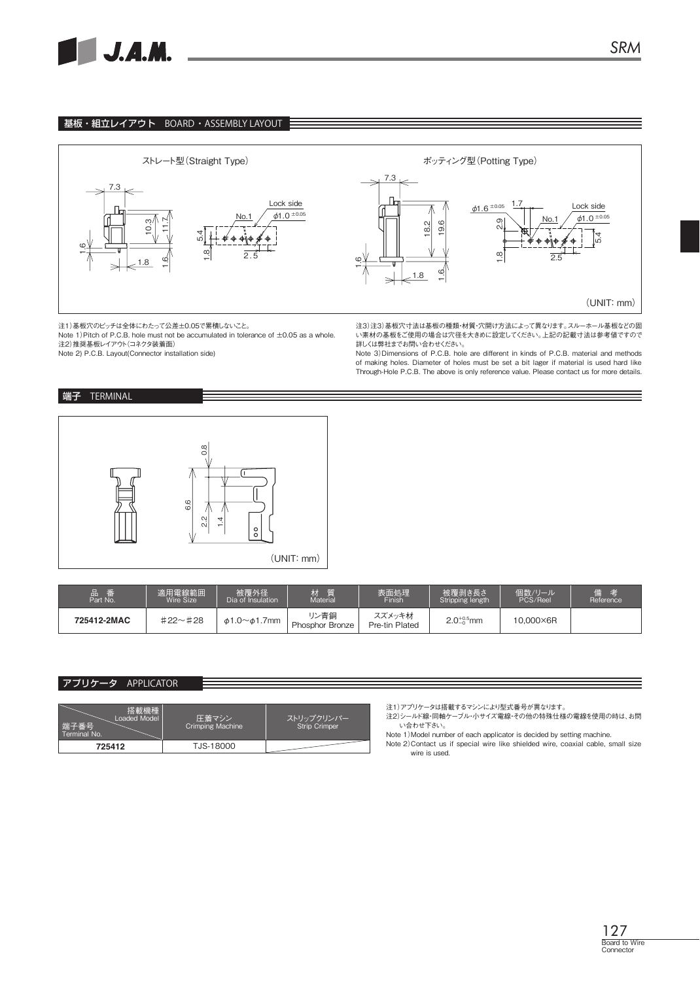

## 基板・組立レイアウト BOARD・ASSEMBLY LAYOUT



注1)基板穴のピッチは全体にわたって公差±0.05で累積しないこと。

Note 1)Pitch of P.C.B. hole must not be accumulated in tolerance of ±0.05 as a whole. 注2)推奨基板レイアウト(コネクタ装着面)

Note 2) P.C.B. Layout(Connector installation side)

#### 注3)注3)基板穴寸法は基板の種類・材質・穴開け方法によって異なります。スルーホール基板などの固 い素材の基板をご使用の場合は穴径を大きめに設定してください。上記の記載寸法は参考値ですので 詳しくは弊社までお問い合わせください。

Note 3)Dimensions of P.C.B. hole are different in kinds of P.C.B. material and methods of making holes. Diameter of holes must be set a bit lager if material is used hard like Through-Hole P.C.B. The above is only reference value. Please contact us for more details.

## 端子 TERMINAL



| 品<br>番<br>Part No. | 適用電線範囲<br>Wire Size | 被覆外径<br>Dia of Insulation | 压压<br>Material                 | 表面処理<br>Finish           | 被覆剥き長さ<br>Stripping length | 個数/リール<br>PCS/Reel | 供<br>考<br>Reference |
|--------------------|---------------------|---------------------------|--------------------------------|--------------------------|----------------------------|--------------------|---------------------|
| 725412-2MAC        | $#22 \sim #28$      | <i></i> ა1.0∼ა1.7mm       | リン青銅<br><b>Phosphor Bronze</b> | スズメッキ材<br>Pre-tin Plated | $2.0^{+0.5}_{-0}$ mm       | 10,000×6R          |                     |

## アプリケータ APPLICATOR

| 搭載機種<br>Loaded Model<br> 端子番号<br>Terminal No. | 圧着マシン<br>Crimping Machine | ストリップクリンパー<br><b>Strip Crimper</b> |
|-----------------------------------------------|---------------------------|------------------------------------|
| 725412                                        | TJS-18000                 |                                    |

注1)アプリケータは搭載するマシンにより型式番号が異なります。

注2)シールド線・同軸ケーブル・小サイズ電線・その他の特殊仕様の電線を使用の時は、お問 い合わせ下さい。

Note 1)Model number of each applicator is decided by setting machine. Note 2)Contact us if special wire like shielded wire, coaxial cable, small size wire is used.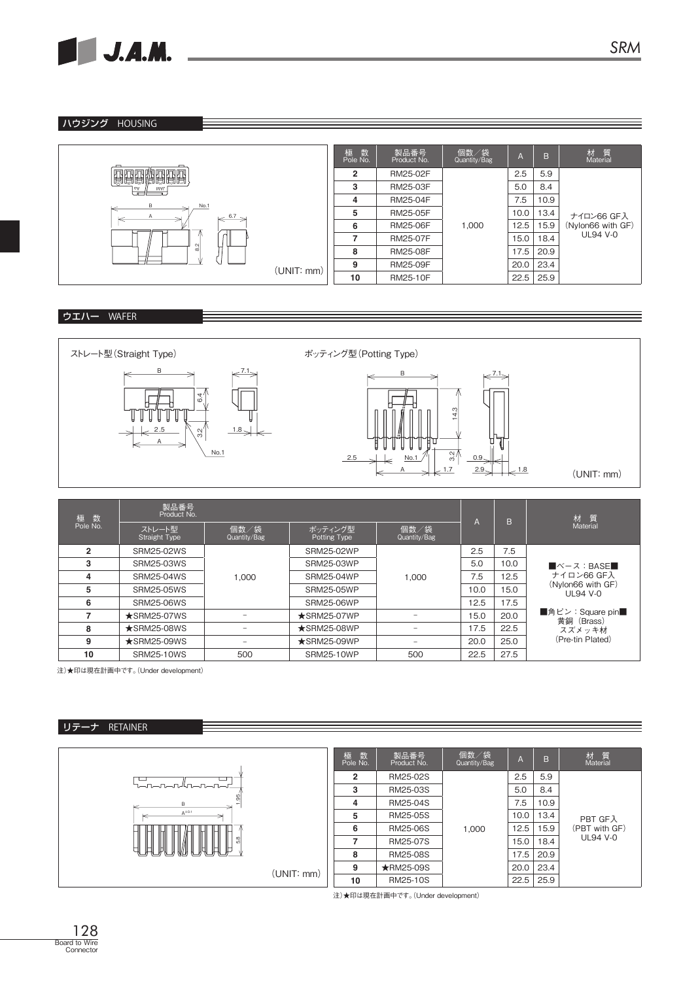

## ハウジング HOUSING



# ウエハー WAFER



| 数<br>極<br>Pole No. | 製品番号<br>Product No.            |                          |                         |                          |      | B.   | 材 質                                    |
|--------------------|--------------------------------|--------------------------|-------------------------|--------------------------|------|------|----------------------------------------|
|                    | ストレート型<br><b>Straight Type</b> | 個数/袋<br>Quantity/Bag     | ポッティング型<br>Potting Type | 個数/袋<br>Quantity/Bag     | A    |      | Material                               |
| $\overline{2}$     | <b>SRM25-02WS</b>              |                          | <b>SRM25-02WP</b>       |                          | 2.5  | 7.5  |                                        |
| 3                  | <b>SRM25-03WS</b>              |                          | <b>SRM25-03WP</b>       |                          | 5.0  | 10.0 | $\blacksquare$ ベース:BASE $\blacksquare$ |
| 4                  | <b>SRM25-04WS</b>              | 1.000                    | <b>SRM25-04WP</b>       | 1.000                    | 7.5  | 12.5 | ナイロン66 GF入                             |
| 5                  | <b>SRM25-05WS</b>              |                          | <b>SRM25-05WP</b>       |                          | 10.0 | 15.0 | (Nylon66 with GF)<br><b>UL94 V-0</b>   |
| 6                  | SRM25-06WS                     |                          | <b>SRM25-06WP</b>       |                          | 12.5 | 17.5 |                                        |
|                    | $\star$ SRM25-07WS             |                          | $\star$ SRM25-07WP      |                          | 15.0 | 20.0 | ■角ピン:Square pin■<br>黄銅 (Brass)         |
| 8                  | $\star$ SRM25-08WS             |                          | $\star$ SRM25-08WP      |                          | 17.5 | 22.5 | スズメッキ材                                 |
| 9                  | $\star$ SRM25-09WS             | $\overline{\phantom{a}}$ | $\star$ SRM25-09WP      | $\overline{\phantom{a}}$ | 20.0 | 25.0 | (Pre-tin Plated)                       |
| 10                 | <b>SRM25-10WS</b>              | 500                      | <b>SRM25-10WP</b>       | 500                      | 22.5 | 27.5 |                                        |

注)★印は現在計画中です。(Under development)

## リテーナ RETAINER



注)★印は現在計画中です。(Under development)